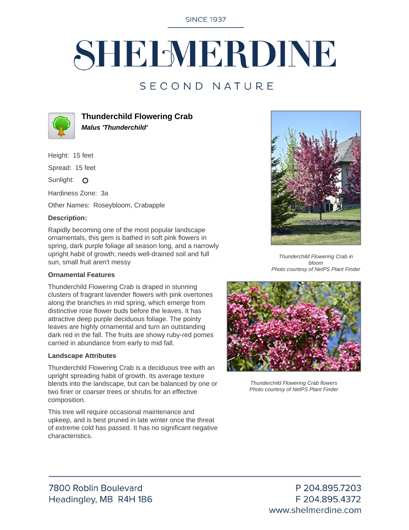**SINCE 1937** 

# SHELMERDINE

### SECOND NATURE



**Thunderchild Flowering Crab Malus 'Thunderchild'**

Height: 15 feet

Spread: 15 feet

Sunlight: O

Hardiness Zone: 3a

Other Names: Roseybloom, Crabapple

#### **Description:**

Rapidly becoming one of the most popular landscape ornamentals, this gem is bathed in soft pink flowers in spring, dark purple foliage all season long, and a narrowly upright habit of growth; needs well-drained soil and full sun, small fruit aren't messy

#### **Ornamental Features**

Thunderchild Flowering Crab is draped in stunning clusters of fragrant lavender flowers with pink overtones along the branches in mid spring, which emerge from distinctive rose flower buds before the leaves. It has attractive deep purple deciduous foliage. The pointy leaves are highly ornamental and turn an outstanding dark red in the fall. The fruits are showy ruby-red pomes carried in abundance from early to mid fall.

#### **Landscape Attributes**

Thunderchild Flowering Crab is a deciduous tree with an upright spreading habit of growth. Its average texture blends into the landscape, but can be balanced by one or two finer or coarser trees or shrubs for an effective composition.

This tree will require occasional maintenance and upkeep, and is best pruned in late winter once the threat of extreme cold has passed. It has no significant negative characteristics.



Thunderchild Flowering Crab in bloom Photo courtesy of NetPS Plant Finder



Thunderchild Flowering Crab flowers Photo courtesy of NetPS Plant Finder

P 204.895.7203 F 204.895.4372 www.shelmerdine.com